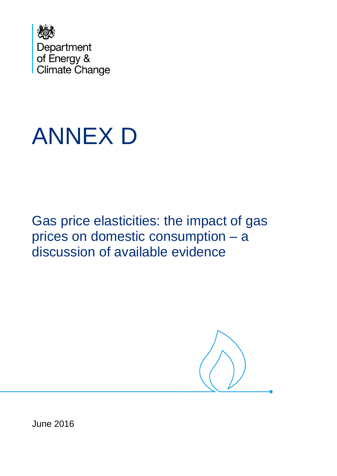

# ANNEX D

Gas price elasticities: the impact of gas prices on domestic consumption – a discussion of available evidence



June 2016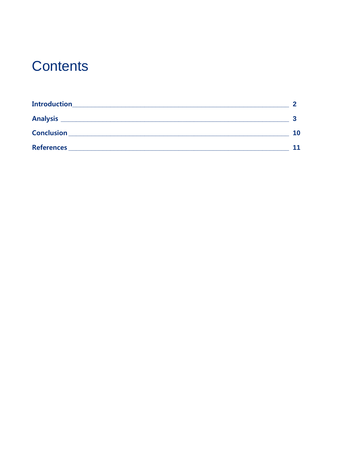### **Contents**

| <b>Introduction</b><br><u> 1980 - Jan James James James James James James James James James James James James James James James James</u> |    |
|-------------------------------------------------------------------------------------------------------------------------------------------|----|
|                                                                                                                                           |    |
| <b>Conclusion</b>                                                                                                                         | 10 |
| <b>References</b>                                                                                                                         | 11 |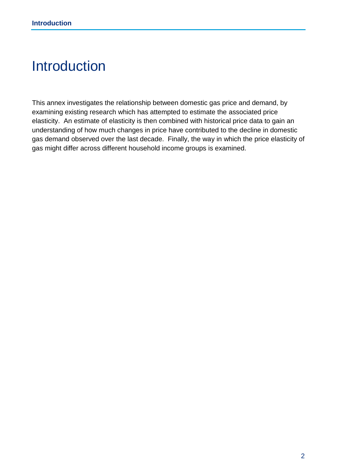### <span id="page-2-0"></span>Introduction

This annex investigates the relationship between domestic gas price and demand, by examining existing research which has attempted to estimate the associated price elasticity. An estimate of elasticity is then combined with historical price data to gain an understanding of how much changes in price have contributed to the decline in domestic gas demand observed over the last decade. Finally, the way in which the price elasticity of gas might differ across different household income groups is examined.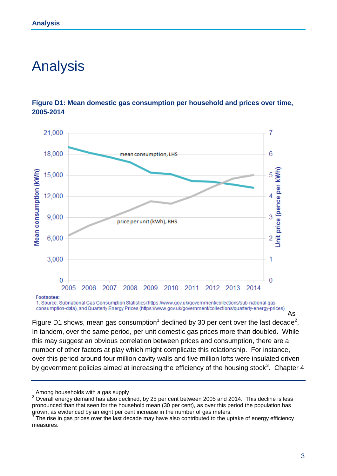### <span id="page-3-0"></span>Analysis





Footnotes:

1. Source: Subnational Gas Consumption Statistics (https://www.gov.uk/government/collections/sub-national-gasconsumption-data), and Quarterly Energy Prices (https://www.gov.uk/government/collections/quarterly-energy-prices)

Figure D1 shows, mean gas consumption<sup>1</sup> declined by 30 per cent over the last decade<sup>2</sup>. In tandem, over the same period, per unit domestic gas prices more than doubled. While this may suggest an obvious correlation between prices and consumption, there are a number of other factors at play which might complicate this relationship. For instance, over this period around four million cavity walls and five million lofts were insulated driven by government policies aimed at increasing the efficiency of the housing stock<sup>3</sup>. Chapter 4

As

 $<sup>1</sup>$  Among households with a gas supply</sup>

<sup>&</sup>lt;sup>2</sup> Overall energy demand has also declined, by 25 per cent between 2005 and 2014. This decline is less pronounced than that seen for the household mean (30 per cent), as over this period the population has grown, as evidenced by an eight per cent increase in the number of gas meters.<br><sup>3</sup> The rise in gas prices over the lest deapde may have also contributed to the un

The rise in gas prices over the last decade may have also contributed to the uptake of energy efficiency measures.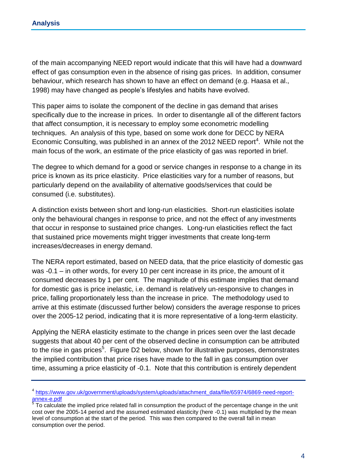of the main accompanying NEED report would indicate that this will have had a downward effect of gas consumption even in the absence of rising gas prices. In addition, consumer behaviour, which research has shown to have an effect on demand (e.g. Haasa et al., 1998) may have changed as people's lifestyles and habits have evolved.

This paper aims to isolate the component of the decline in gas demand that arises specifically due to the increase in prices. In order to disentangle all of the different factors that affect consumption, it is necessary to employ some econometric modelling techniques. An analysis of this type, based on some work done for DECC by NERA Economic Consulting, was published in an annex of the 2012 NEED report<sup>4</sup>. While not the main focus of the work, an estimate of the price elasticity of gas was reported in brief.

The degree to which demand for a good or service changes in response to a change in its price is known as its price elasticity. Price elasticities vary for a number of reasons, but particularly depend on the availability of alternative goods/services that could be consumed (i.e. substitutes).

A distinction exists between short and long-run elasticities. Short-run elasticities isolate only the behavioural changes in response to price, and not the effect of any investments that occur in response to sustained price changes. Long-run elasticities reflect the fact that sustained price movements might trigger investments that create long-term increases/decreases in energy demand.

The NERA report estimated, based on NEED data, that the price elasticity of domestic gas was -0.1 – in other words, for every 10 per cent increase in its price, the amount of it consumed decreases by 1 per cent. The magnitude of this estimate implies that demand for domestic gas is price inelastic, i.e. demand is relatively un-responsive to changes in price, falling proportionately less than the increase in price. The methodology used to arrive at this estimate (discussed further below) considers the average response to prices over the 2005-12 period, indicating that it is more representative of a long-term elasticity.

Applying the NERA elasticity estimate to the change in prices seen over the last decade suggests that about 40 per cent of the observed decline in consumption can be attributed to the rise in gas prices<sup>5</sup>. Figure D2 below, shown for illustrative purposes, demonstrates the implied contribution that price rises have made to the fall in gas consumption over time, assuming a price elasticity of -0.1. Note that this contribution is entirely dependent

<sup>&</sup>lt;sup>4</sup> [https://www.gov.uk/government/uploads/system/uploads/attachment\\_data/file/65974/6869-need-report](https://www.gov.uk/government/uploads/system/uploads/attachment_data/file/65974/6869-need-report-annex-e.pdf)[annex-e.pdf](https://www.gov.uk/government/uploads/system/uploads/attachment_data/file/65974/6869-need-report-annex-e.pdf)<br><sup>5</sup> Teleslaulei

To calculate the implied price related fall in consumption the product of the percentage change in the unit cost over the 2005-14 period and the assumed estimated elasticity (here -0.1) was multiplied by the mean level of consumption at the start of the period. This was then compared to the overall fall in mean consumption over the period.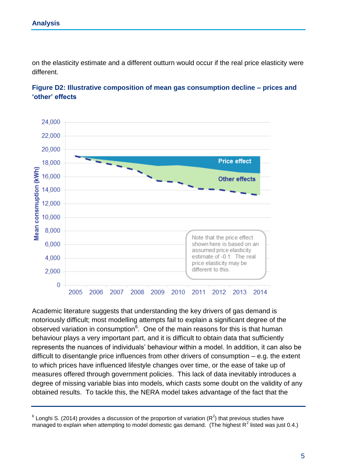on the elasticity estimate and a different outturn would occur if the real price elasticity were different.



#### **Figure D2: Illustrative composition of mean gas consumption decline – prices and 'other' effects**

Academic literature suggests that understanding the key drivers of gas demand is notoriously difficult; most modelling attempts fail to explain a significant degree of the observed variation in consumption<sup>6</sup>. One of the main reasons for this is that human behaviour plays a very important part, and it is difficult to obtain data that sufficiently represents the nuances of individuals' behaviour within a model. In addition, it can also be difficult to disentangle price influences from other drivers of consumption – e.g. the extent to which prices have influenced lifestyle changes over time, or the ease of take up of measures offered through government policies. This lack of data inevitably introduces a degree of missing variable bias into models, which casts some doubt on the validity of any obtained results. To tackle this, the NERA model takes advantage of the fact that the

 $6$  Longhi S. (2014) provides a discussion of the proportion of variation ( $R^2$ ) that previous studies have managed to explain when attempting to model domestic gas demand. (The highest R<sup>2</sup> listed was just 0.4.)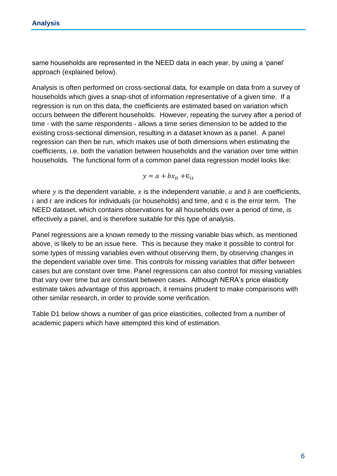same households are represented in the NEED data in each year, by using a 'panel' approach (explained below).

Analysis is often performed on cross-sectional data, for example on data from a survey of households which gives a snap-shot of information representative of a given time. If a regression is run on this data, the coefficients are estimated based on variation which occurs between the different households. However, repeating the survey after a period of time - with the same respondents - allows a time series dimension to be added to the existing cross-sectional dimension, resulting in a dataset known as a panel. A panel regression can then be run, which makes use of both dimensions when estimating the coefficients, i.e. both the variation between households and the variation over time within households. The functional form of a common panel data regression model looks like:

$$
y = a + bx_{it} + \epsilon_{it}
$$

where y is the dependent variable, x is the independent variable,  $a$  and  $b$  are coefficients, i and t are indices for individuals (or households) and time, and  $\in$  is the error term. The NEED dataset, which contains observations for all households over a period of time, is effectively a panel, and is therefore suitable for this type of analysis.

Panel regressions are a known remedy to the missing variable bias which, as mentioned above, is likely to be an issue here. This is because they make it possible to control for some types of missing variables even without observing them, by observing changes in the dependent variable over time. This controls for missing variables that differ between cases but are constant over time. Panel regressions can also control for missing variables that vary over time but are constant between cases. Although NERA's price elasticity estimate takes advantage of this approach, it remains prudent to make comparisons with other similar research, in order to provide some verification.

Table D1 below shows a number of gas price elasticities, collected from a number of academic papers which have attempted this kind of estimation.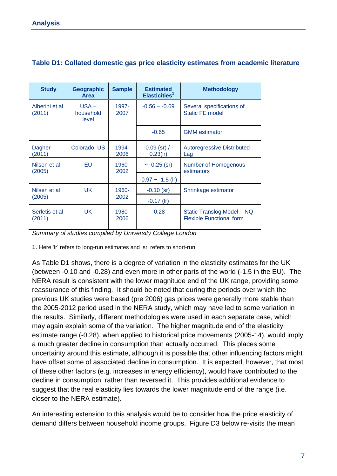| <b>Study</b>             | Geographic<br><b>Area</b>     | <b>Sample</b> | <b>Estimated</b><br>Elasticities <sup>1</sup> | <b>Methodology</b>                                            |
|--------------------------|-------------------------------|---------------|-----------------------------------------------|---------------------------------------------------------------|
| Alberini et al<br>(2011) | $USA -$<br>household<br>level | 1997-<br>2007 | $-0.56 - -0.69$                               | Several specifications of<br><b>Static FE model</b>           |
|                          |                               |               | $-0.65$                                       | <b>GMM</b> estimator                                          |
| Dagher<br>(2011)         | Colorado, US                  | 1994-<br>2006 | $-0.09$ (sr) / -<br>$0.23($ lr)               | <b>Autoregressive Distributed</b><br>Lag                      |
| Nilsen et al<br>(2005)   | EU                            | 1960-<br>2002 | $\sim$ -0.25 (sr)                             | Number of Homogenous<br>estimators                            |
|                          |                               |               | $-0.97 - -1.5$ (lr)                           |                                                               |
| Nilsen et al<br>(2005)   | <b>UK</b>                     | 1960-<br>2002 | $-0.10$ (sr)                                  | Shrinkage estimator                                           |
|                          |                               |               | $-0.17$ (lr)                                  |                                                               |
| Serletis et al<br>(2011) | <b>UK</b>                     | 1980-<br>2006 | $-0.28$                                       | Static Translog Model - NQ<br><b>Flexible Functional form</b> |

#### **Table D1: Collated domestic gas price elasticity estimates from academic literature**

*Summary of studies compiled by University College London*

1. Here 'lr' refers to long-run estimates and 'sr' refers to short-run.

As Table D1 shows, there is a degree of variation in the elasticity estimates for the UK (between -0.10 and -0.28) and even more in other parts of the world (-1.5 in the EU). The NERA result is consistent with the lower magnitude end of the UK range, providing some reassurance of this finding. It should be noted that during the periods over which the previous UK studies were based (pre 2006) gas prices were generally more stable than the 2005-2012 period used in the NERA study, which may have led to some variation in the results. Similarly, different methodologies were used in each separate case, which may again explain some of the variation. The higher magnitude end of the elasticity estimate range (-0.28), when applied to historical price movements (2005-14), would imply a much greater decline in consumption than actually occurred. This places some uncertainty around this estimate, although it is possible that other influencing factors might have offset some of associated decline in consumption. It is expected, however, that most of these other factors (e.g. increases in energy efficiency), would have contributed to the decline in consumption, rather than reversed it. This provides additional evidence to suggest that the real elasticity lies towards the lower magnitude end of the range (i.e. closer to the NERA estimate).

An interesting extension to this analysis would be to consider how the price elasticity of demand differs between household income groups. Figure D3 below re-visits the mean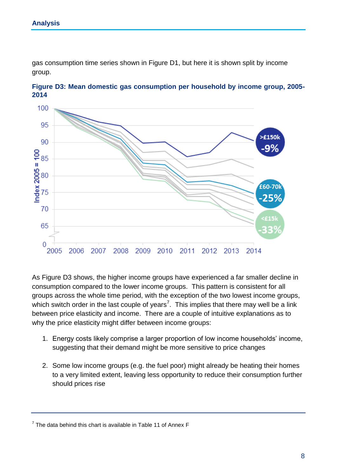gas consumption time series shown in Figure D1, but here it is shown split by income group.





As Figure D3 shows, the higher income groups have experienced a far smaller decline in consumption compared to the lower income groups. This pattern is consistent for all groups across the whole time period, with the exception of the two lowest income groups, which switch order in the last couple of years<sup>7</sup>. This implies that there may well be a link between price elasticity and income. There are a couple of intuitive explanations as to why the price elasticity might differ between income groups:

- 1. Energy costs likely comprise a larger proportion of low income households' income, suggesting that their demand might be more sensitive to price changes
- 2. Some low income groups (e.g. the fuel poor) might already be heating their homes to a very limited extent, leaving less opportunity to reduce their consumption further should prices rise

 $7$  The data behind this chart is available in Table 11 of Annex F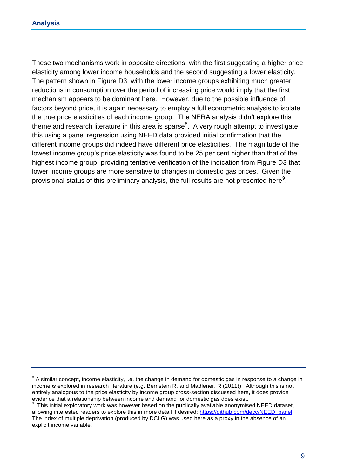These two mechanisms work in opposite directions, with the first suggesting a higher price elasticity among lower income households and the second suggesting a lower elasticity. The pattern shown in Figure D3, with the lower income groups exhibiting much greater reductions in consumption over the period of increasing price would imply that the first mechanism appears to be dominant here. However, due to the possible influence of factors beyond price, it is again necessary to employ a full econometric analysis to isolate the true price elasticities of each income group. The NERA analysis didn't explore this theme and research literature in this area is sparse $8$ . A very rough attempt to investigate this using a panel regression using NEED data provided initial confirmation that the different income groups did indeed have different price elasticities. The magnitude of the lowest income group's price elasticity was found to be 25 per cent higher than that of the highest income group, providing tentative verification of the indication from Figure D3 that lower income groups are more sensitive to changes in domestic gas prices. Given the provisional status of this preliminary analysis, the full results are not presented here $^9$ .

<sup>&</sup>lt;sup>8</sup> A similar concept, income elasticity, i.e. the change in demand for domestic gas in response to a change in income *is* explored in research literature (e.g. Bernstein R. and Madlener. R (2011)). Although this is not entirely analogous to the price elasticity by income group cross-section discussed here, it does provide evidence that a relationship between income and demand for domestic gas does exist.

<sup>9</sup> This initial exploratory work was however based on the publically available anonymised NEED dataset, allowing interested readers to explore this in more detail if desired: [https://github.com/decc/NEED\\_panel](https://github.com/decc/NEED_panel)  The index of multiple deprivation (produced by DCLG) was used here as a proxy in the absence of an explicit income variable.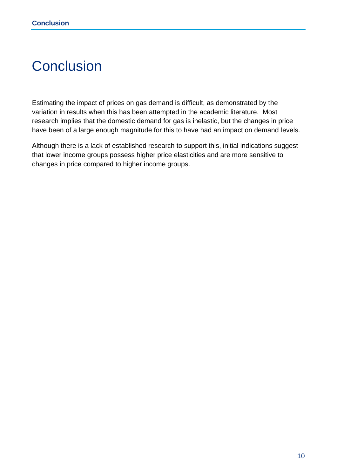## <span id="page-10-0"></span>**Conclusion**

Estimating the impact of prices on gas demand is difficult, as demonstrated by the variation in results when this has been attempted in the academic literature. Most research implies that the domestic demand for gas is inelastic, but the changes in price have been of a large enough magnitude for this to have had an impact on demand levels.

Although there is a lack of established research to support this, initial indications suggest that lower income groups possess higher price elasticities and are more sensitive to changes in price compared to higher income groups.